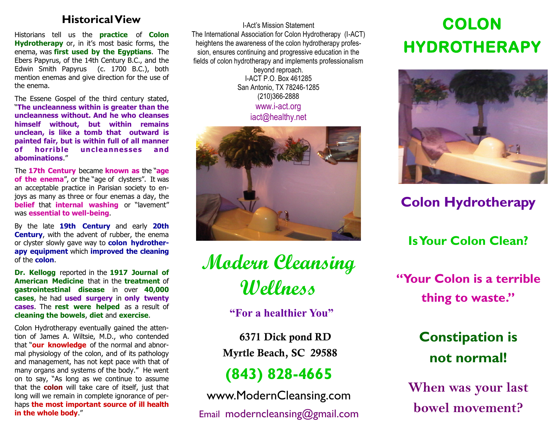Historians tell us the **practice** of **Colon Hydrotherapy** or, in it's most basic forms, the enema, was **first used by the Egyptians**. The Ebers Papyrus, of the 14th Century B.C., and the Edwin Smith Papyrus (c. 1700 B.C.), both mention enemas and give direction for the use of the enema.

The Essene Gospel of the third century stated, "**The uncleanness within is greater than the uncleanness without. And he who cleanses himself without, but within remains unclean, is like a tomb that outward is painted fair, but is within full of all manner of horrible uncleannesses and abominations**."

The **17th Century** became **known as** the "**age**  of the enema", or the "age of clysters". It was an acceptable practice in Parisian society to enjoys as many as three or four enemas a day, the **belief** that **internal washing** or "lavement" was **essential to well-being**.

By the late **19th Century** and early **20th Century**, with the advent of rubber, the enema or clyster slowly gave way to **colon hydrotherapy equipment** which **improved the cleaning**  of the **colon**.

**Dr. Kellogg** reported in the **1917 Journal of American Medicine** that in the **treatment** of **gastrointestinal disease** in over **40,000 cases**, he had **used surgery** in **only twenty cases**. The **rest were helped** as a result of **cleaning the bowels**, **diet** and **exercise**.

Colon Hydrotherapy eventually gained the attention of James A. Wiltsie, M.D., who contended that "**our knowledge** of the normal and abnormal physiology of the colon, and of its pathology and management, has not kept pace with that of many organs and systems of the body." He went on to say, "As long as we continue to assume that the **colon** will take care of itself, just that long will we remain in complete ignorance of perhaps **the most important source of ill health in the whole body**."

**Historical View COLON** I-Act's Mission Statement The International Association for Colon Hydrotherapy (I-ACT) heightens the awareness of the colon hydrotherapy profession, ensures continuing and progressive education in the fields of colon hydrotherapy and implements professionalism beyond reproach. I-ACT P.O. Box 461285 San Antonio, TX 78246-1285 (210)366-2888

> www.i-act.org iact@healthy.net



**Modern Cleansing Wellness**

**"For a healthier You"**

 **6371 Dick pond RD Myrtle Beach, SC 29588**

## **(843) 828-4665**

www.ModernCleansing.com Email moderncleansing@gmail.com

# **HYDROTHERAPY**



## **Colon Hydrotherapy**

**Is Your Colon Clean?**

**"Your Colon is a terrible thing to waste."**

## **Constipation is not normal!**

**When was your last bowel movement?**